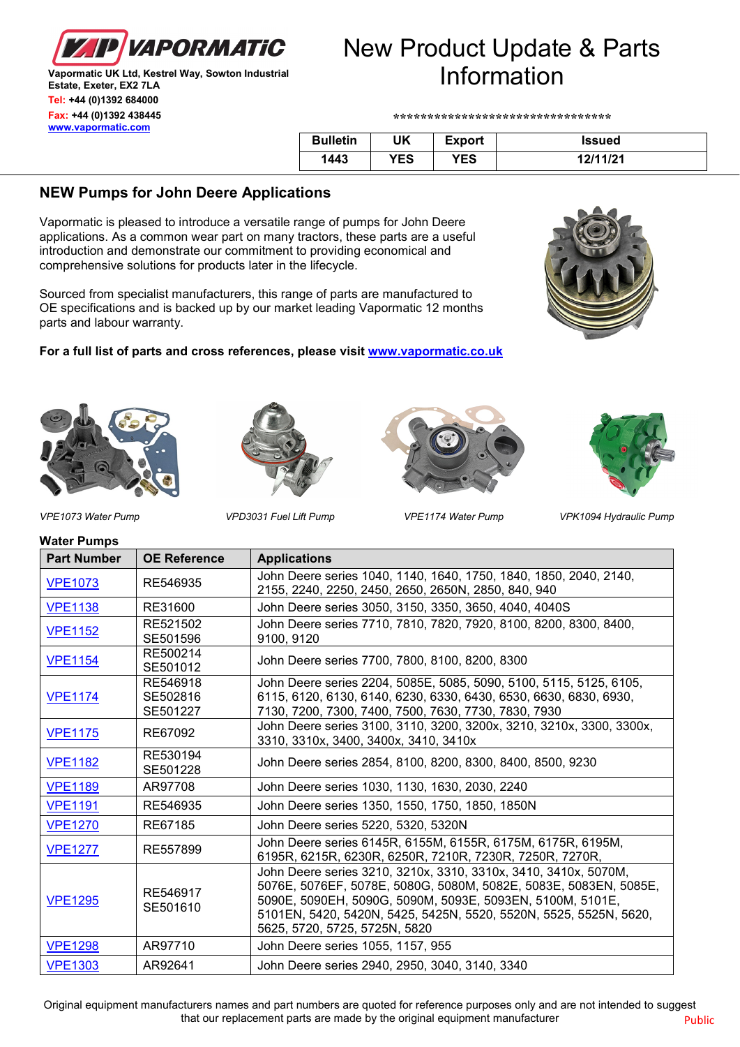

#### **Vapormatic UK Ltd, Kestrel Way, Sowton Industrial Estate, Exeter, EX2 7LA Tel: +44 (0)1392 684000 Fax: +44 (0)1392 438445 [www.vapormatic.com](http://www.vapormatic.com/)**

# New Product Update & Parts Information

**\*\*\*\*\*\*\*\*\*\*\*\*\*\*\*\*\*\*\*\*\*\*\*\*\*\*\*\*\*\*\*\***

| <b>Bulletin</b> | UK  | <b>Export</b> | Issued   |
|-----------------|-----|---------------|----------|
| 1443            | YES | YES           | 12111121 |

# **NEW Pumps for John Deere Applications**

Vapormatic is pleased to introduce a versatile range of pumps for John Deere applications. As a common wear part on many tractors, these parts are a useful introduction and demonstrate our commitment to providing economical and comprehensive solutions for products later in the lifecycle.

Sourced from specialist manufacturers, this range of parts are manufactured to OE specifications and is backed up by our market leading Vapormatic 12 months parts and labour warranty.

## **For a full list of parts and cross references, please visit [www.vapormatic.co.uk](http://www.vapormatic.co.uk/)**











**Water Pumps**

*VPE1073 Water Pump VPD3031 Fuel Lift Pump VPE1174 Water Pump VPK1094 Hydraulic Pump*

| <b>Part Number</b> | <b>OE Reference</b>              | <b>Applications</b>                                                                                                                                                                                                                                                                                    |  |  |
|--------------------|----------------------------------|--------------------------------------------------------------------------------------------------------------------------------------------------------------------------------------------------------------------------------------------------------------------------------------------------------|--|--|
| <b>VPE1073</b>     | RE546935                         | John Deere series 1040, 1140, 1640, 1750, 1840, 1850, 2040, 2140,<br>2155, 2240, 2250, 2450, 2650, 2650N, 2850, 840, 940                                                                                                                                                                               |  |  |
| <b>VPE1138</b>     | RE31600                          | John Deere series 3050, 3150, 3350, 3650, 4040, 4040S                                                                                                                                                                                                                                                  |  |  |
| <b>VPE1152</b>     | RE521502<br>SE501596             | John Deere series 7710, 7810, 7820, 7920, 8100, 8200, 8300, 8400,<br>9100, 9120                                                                                                                                                                                                                        |  |  |
| <b>VPE1154</b>     | RE500214<br>SE501012             | John Deere series 7700, 7800, 8100, 8200, 8300                                                                                                                                                                                                                                                         |  |  |
| <b>VPE1174</b>     | RE546918<br>SE502816<br>SE501227 | John Deere series 2204, 5085E, 5085, 5090, 5100, 5115, 5125, 6105,<br>6115, 6120, 6130, 6140, 6230, 6330, 6430, 6530, 6630, 6830, 6930,<br>7130, 7200, 7300, 7400, 7500, 7630, 7730, 7830, 7930                                                                                                        |  |  |
| <b>VPE1175</b>     | RE67092                          | John Deere series 3100, 3110, 3200, 3200x, 3210, 3210x, 3300, 3300x,<br>3310, 3310x, 3400, 3400x, 3410, 3410x                                                                                                                                                                                          |  |  |
| <b>VPE1182</b>     | RE530194<br>SE501228             | John Deere series 2854, 8100, 8200, 8300, 8400, 8500, 9230                                                                                                                                                                                                                                             |  |  |
| <b>VPE1189</b>     | AR97708                          | John Deere series 1030, 1130, 1630, 2030, 2240                                                                                                                                                                                                                                                         |  |  |
| <b>VPE1191</b>     | RE546935                         | John Deere series 1350, 1550, 1750, 1850, 1850N                                                                                                                                                                                                                                                        |  |  |
| <b>VPE1270</b>     | RE67185                          | John Deere series 5220, 5320, 5320N                                                                                                                                                                                                                                                                    |  |  |
| <b>VPE1277</b>     | RE557899                         | John Deere series 6145R, 6155M, 6155R, 6175M, 6175R, 6195M,<br>6195R, 6215R, 6230R, 6250R, 7210R, 7230R, 7250R, 7270R,                                                                                                                                                                                 |  |  |
| <b>VPE1295</b>     | RE546917<br>SE501610             | John Deere series 3210, 3210x, 3310, 3310x, 3410, 3410x, 5070M,<br>5076E, 5076EF, 5078E, 5080G, 5080M, 5082E, 5083E, 5083EN, 5085E,<br>5090E, 5090EH, 5090G, 5090M, 5093E, 5093EN, 5100M, 5101E,<br>5101EN, 5420, 5420N, 5425, 5425N, 5520, 5520N, 5525, 5525N, 5620,<br>5625, 5720, 5725, 5725N, 5820 |  |  |
| <b>VPE1298</b>     | AR97710                          | John Deere series 1055, 1157, 955                                                                                                                                                                                                                                                                      |  |  |
| <b>VPE1303</b>     | AR92641                          | John Deere series 2940, 2950, 3040, 3140, 3340                                                                                                                                                                                                                                                         |  |  |

Original equipment manufacturers names and part numbers are quoted for reference purposes only and are not intended to suggest that our replacement parts are made by the original equipment manufacturer **Public** Public